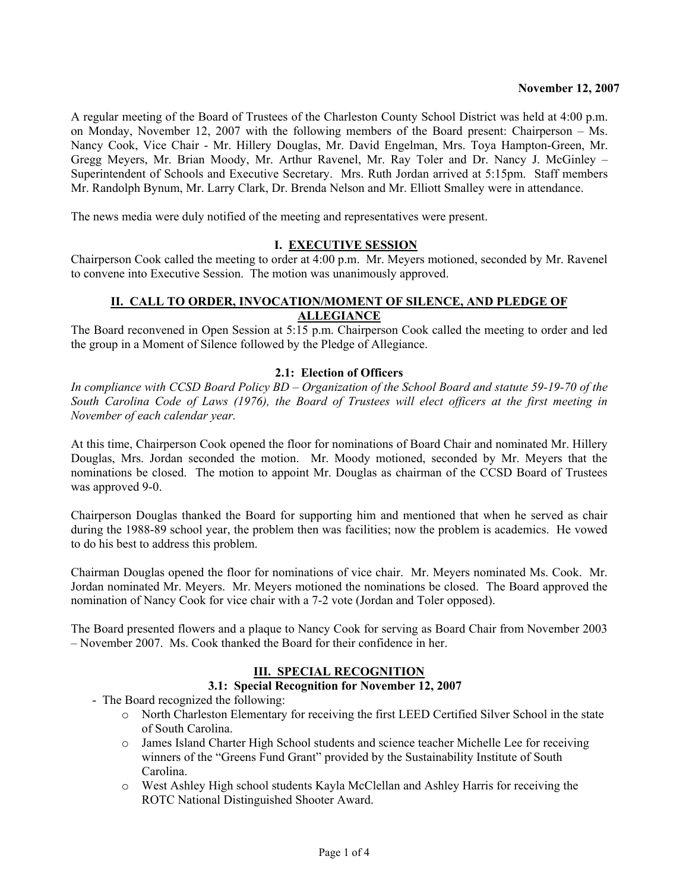A regular meeting of the Board of Trustees of the Charleston County School District was held at 4:00 p.m. on Monday, November 12, 2007 with the following members of the Board present: Chairperson – Ms. Nancy Cook, Vice Chair - Mr. Hillery Douglas, Mr. David Engelman, Mrs. Toya Hampton-Green, Mr. Gregg Meyers, Mr. Brian Moody, Mr. Arthur Ravenel, Mr. Ray Toler and Dr. Nancy J. McGinley – Superintendent of Schools and Executive Secretary. Mrs. Ruth Jordan arrived at 5:15pm. Staff members Mr. Randolph Bynum, Mr. Larry Clark, Dr. Brenda Nelson and Mr. Elliott Smalley were in attendance.

The news media were duly notified of the meeting and representatives were present.

## **I. EXECUTIVE SESSION**

Chairperson Cook called the meeting to order at 4:00 p.m. Mr. Meyers motioned, seconded by Mr. Ravenel to convene into Executive Session. The motion was unanimously approved.

#### **II. CALL TO ORDER, INVOCATION/MOMENT OF SILENCE, AND PLEDGE OF ALLEGIANCE**

The Board reconvened in Open Session at 5:15 p.m. Chairperson Cook called the meeting to order and led the group in a Moment of Silence followed by the Pledge of Allegiance.

## **2.1: Election of Officers**

*In compliance with CCSD Board Policy BD – Organization of the School Board and statute 59-19-70 of the South Carolina Code of Laws (1976), the Board of Trustees will elect officers at the first meeting in November of each calendar year.* 

At this time, Chairperson Cook opened the floor for nominations of Board Chair and nominated Mr. Hillery Douglas, Mrs. Jordan seconded the motion. Mr. Moody motioned, seconded by Mr. Meyers that the nominations be closed. The motion to appoint Mr. Douglas as chairman of the CCSD Board of Trustees was approved 9-0.

Chairperson Douglas thanked the Board for supporting him and mentioned that when he served as chair during the 1988-89 school year, the problem then was facilities; now the problem is academics. He vowed to do his best to address this problem.

Chairman Douglas opened the floor for nominations of vice chair. Mr. Meyers nominated Ms. Cook. Mr. Jordan nominated Mr. Meyers. Mr. Meyers motioned the nominations be closed. The Board approved the nomination of Nancy Cook for vice chair with a 7-2 vote (Jordan and Toler opposed).

The Board presented flowers and a plaque to Nancy Cook for serving as Board Chair from November 2003 – November 2007. Ms. Cook thanked the Board for their confidence in her.

## **III. SPECIAL RECOGNITION**

## **3.1: Special Recognition for November 12, 2007**

- The Board recognized the following:
	- o North Charleston Elementary for receiving the first LEED Certified Silver School in the state of South Carolina.
	- o James Island Charter High School students and science teacher Michelle Lee for receiving winners of the "Greens Fund Grant" provided by the Sustainability Institute of South Carolina.
	- o West Ashley High school students Kayla McClellan and Ashley Harris for receiving the ROTC National Distinguished Shooter Award.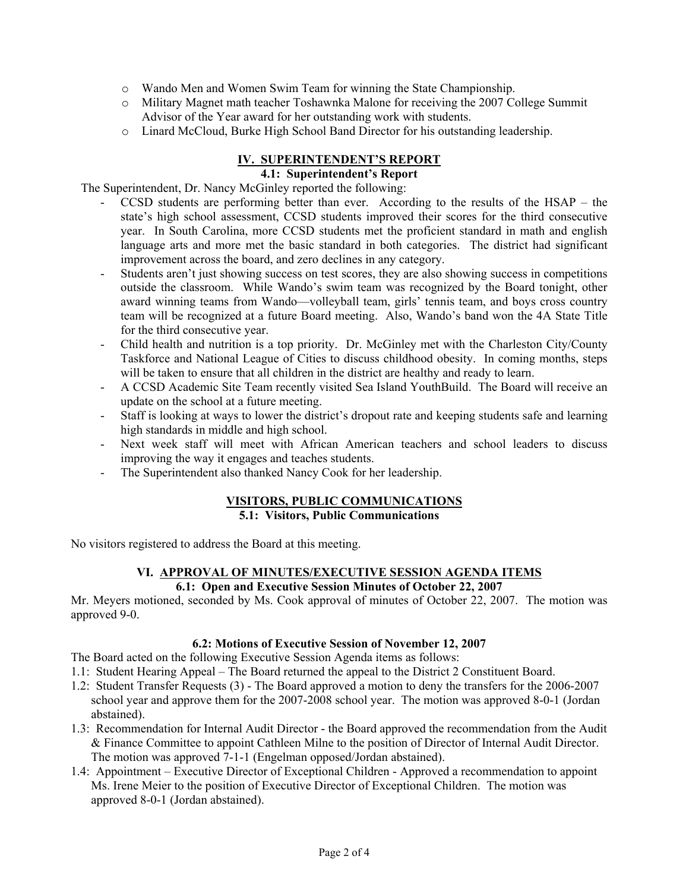- o Wando Men and Women Swim Team for winning the State Championship.
- o Military Magnet math teacher Toshawnka Malone for receiving the 2007 College Summit Advisor of the Year award for her outstanding work with students.
- o Linard McCloud, Burke High School Band Director for his outstanding leadership.

#### **IV. SUPERINTENDENT'S REPORT 4.1: Superintendent's Report**

The Superintendent, Dr. Nancy McGinley reported the following:

- CCSD students are performing better than ever. According to the results of the HSAP the state's high school assessment, CCSD students improved their scores for the third consecutive year. In South Carolina, more CCSD students met the proficient standard in math and english language arts and more met the basic standard in both categories. The district had significant improvement across the board, and zero declines in any category.
- Students aren't just showing success on test scores, they are also showing success in competitions outside the classroom. While Wando's swim team was recognized by the Board tonight, other award winning teams from Wando—volleyball team, girls' tennis team, and boys cross country team will be recognized at a future Board meeting. Also, Wando's band won the 4A State Title for the third consecutive year.
- Child health and nutrition is a top priority. Dr. McGinley met with the Charleston City/County Taskforce and National League of Cities to discuss childhood obesity. In coming months, steps will be taken to ensure that all children in the district are healthy and ready to learn.
- A CCSD Academic Site Team recently visited Sea Island YouthBuild. The Board will receive an update on the school at a future meeting.
- Staff is looking at ways to lower the district's dropout rate and keeping students safe and learning high standards in middle and high school.
- Next week staff will meet with African American teachers and school leaders to discuss improving the way it engages and teaches students.
- The Superintendent also thanked Nancy Cook for her leadership.

#### **VISITORS, PUBLIC COMMUNICATIONS 5.1: Visitors, Public Communications**

No visitors registered to address the Board at this meeting.

# **VI. APPROVAL OF MINUTES/EXECUTIVE SESSION AGENDA ITEMS**

## **6.1: Open and Executive Session Minutes of October 22, 2007**

Mr. Meyers motioned, seconded by Ms. Cook approval of minutes of October 22, 2007. The motion was approved 9-0.

## **6.2: Motions of Executive Session of November 12, 2007**

The Board acted on the following Executive Session Agenda items as follows:

- 1.1: Student Hearing Appeal The Board returned the appeal to the District 2 Constituent Board.
- 1.2: Student Transfer Requests (3) The Board approved a motion to deny the transfers for the 2006-2007 school year and approve them for the 2007-2008 school year. The motion was approved 8-0-1 (Jordan abstained).
- 1.3: Recommendation for Internal Audit Director the Board approved the recommendation from the Audit & Finance Committee to appoint Cathleen Milne to the position of Director of Internal Audit Director. The motion was approved 7-1-1 (Engelman opposed/Jordan abstained).
- 1.4: Appointment Executive Director of Exceptional Children Approved a recommendation to appoint Ms. Irene Meier to the position of Executive Director of Exceptional Children. The motion was approved 8-0-1 (Jordan abstained).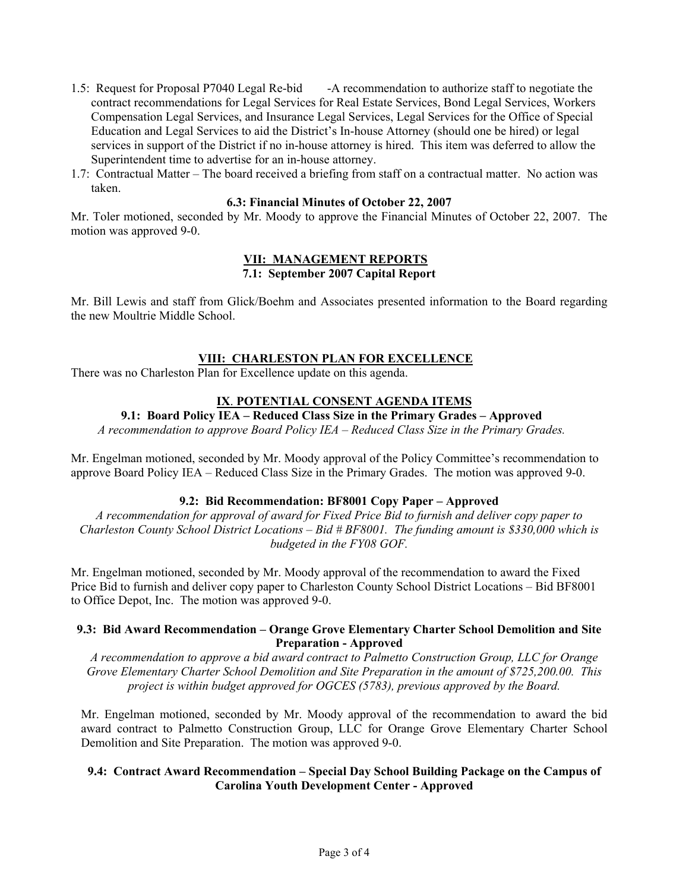- 1.5: Request for Proposal P7040 Legal Re-bid -A recommendation to authorize staff to negotiate the contract recommendations for Legal Services for Real Estate Services, Bond Legal Services, Workers Compensation Legal Services, and Insurance Legal Services, Legal Services for the Office of Special Education and Legal Services to aid the District's In-house Attorney (should one be hired) or legal services in support of the District if no in-house attorney is hired. This item was deferred to allow the Superintendent time to advertise for an in-house attorney.
- 1.7: Contractual Matter The board received a briefing from staff on a contractual matter. No action was taken.

#### **6.3: Financial Minutes of October 22, 2007**

Mr. Toler motioned, seconded by Mr. Moody to approve the Financial Minutes of October 22, 2007. The motion was approved 9-0.

#### **VII: MANAGEMENT REPORTS 7.1: September 2007 Capital Report**

Mr. Bill Lewis and staff from Glick/Boehm and Associates presented information to the Board regarding the new Moultrie Middle School.

## **VIII: CHARLESTON PLAN FOR EXCELLENCE**

There was no Charleston Plan for Excellence update on this agenda.

## **IX**. **POTENTIAL CONSENT AGENDA ITEMS**

**9.1: Board Policy IEA – Reduced Class Size in the Primary Grades – Approved** 

*A recommendation to approve Board Policy IEA – Reduced Class Size in the Primary Grades.* 

Mr. Engelman motioned, seconded by Mr. Moody approval of the Policy Committee's recommendation to approve Board Policy IEA – Reduced Class Size in the Primary Grades. The motion was approved 9-0.

## **9.2: Bid Recommendation: BF8001 Copy Paper – Approved**

*A recommendation for approval of award for Fixed Price Bid to furnish and deliver copy paper to Charleston County School District Locations – Bid # BF8001. The funding amount is \$330,000 which is budgeted in the FY08 GOF.* 

Mr. Engelman motioned, seconded by Mr. Moody approval of the recommendation to award the Fixed Price Bid to furnish and deliver copy paper to Charleston County School District Locations – Bid BF8001 to Office Depot, Inc. The motion was approved 9-0.

## **9.3: Bid Award Recommendation – Orange Grove Elementary Charter School Demolition and Site Preparation - Approved**

*A recommendation to approve a bid award contract to Palmetto Construction Group, LLC for Orange Grove Elementary Charter School Demolition and Site Preparation in the amount of \$725,200.00. This project is within budget approved for OGCES (5783), previous approved by the Board.* 

Mr. Engelman motioned, seconded by Mr. Moody approval of the recommendation to award the bid award contract to Palmetto Construction Group, LLC for Orange Grove Elementary Charter School Demolition and Site Preparation. The motion was approved 9-0.

## **9.4: Contract Award Recommendation – Special Day School Building Package on the Campus of Carolina Youth Development Center - Approved**